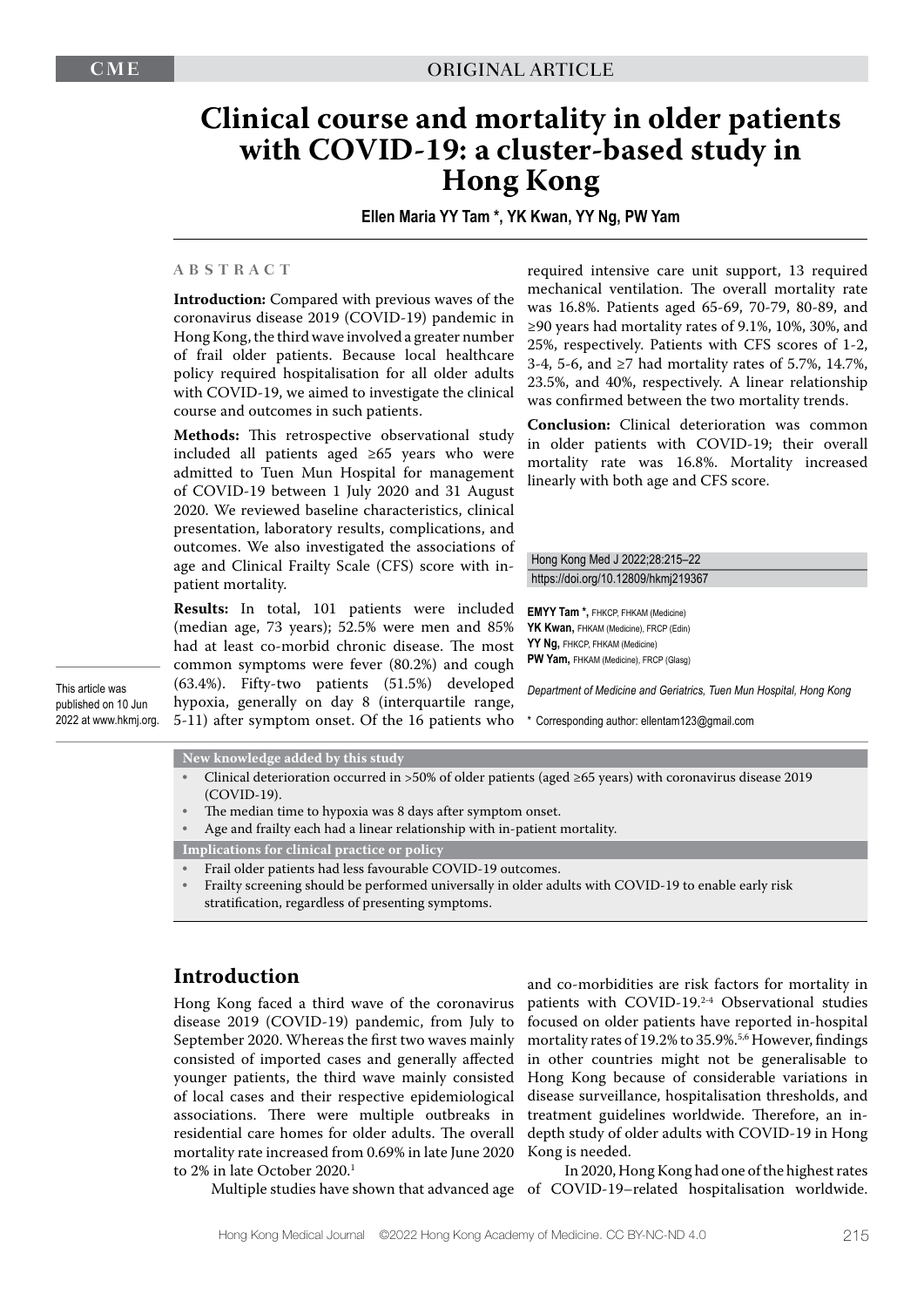# **Clinical course and mortality in older patients with COVID-19: a cluster-based study in Hong Kong**

**Ellen Maria YY Tam \*, YK Kwan, YY Ng, PW Yam**

#### **ABSTRACT**

**Introduction:** Compared with previous waves of the coronavirus disease 2019 (COVID-19) pandemic in Hong Kong, the third wave involved a greater number of frail older patients. Because local healthcare policy required hospitalisation for all older adults with COVID-19, we aimed to investigate the clinical course and outcomes in such patients.

**Methods:** This retrospective observational study included all patients aged ≥65 years who were admitted to Tuen Mun Hospital for management of COVID-19 between 1 July 2020 and 31 August 2020. We reviewed baseline characteristics, clinical presentation, laboratory results, complications, and outcomes. We also investigated the associations of age and Clinical Frailty Scale (CFS) score with inpatient mortality.

**Results:** In total, 101 patients were included (median age, 73 years); 52.5% were men and 85% had at least co-morbid chronic disease. The most common symptoms were fever (80.2%) and cough (63.4%). Fifty-two patients (51.5%) developed hypoxia, generally on day 8 (interquartile range, 5-11) after symptom onset. Of the 16 patients who

required intensive care unit support, 13 required mechanical ventilation. The overall mortality rate was 16.8%. Patients aged 65-69, 70-79, 80-89, and ≥90 years had mortality rates of 9.1%, 10%, 30%, and 25%, respectively. Patients with CFS scores of 1-2, 3-4, 5-6, and ≥7 had mortality rates of 5.7%, 14.7%, 23.5%, and 40%, respectively. A linear relationship was confirmed between the two mortality trends.

**Conclusion:** Clinical deterioration was common in older patients with COVID-19; their overall mortality rate was 16.8%. Mortality increased linearly with both age and CFS score.

Hong Kong Med J 2022;28:215–22 https://doi.org/10.12809/hkmj219367

**EMYY Tam \*,** FHKCP, FHKAM (Medicine) YK Kwan, FHKAM (Medicine), FRCP (Edin) **YY Ng,** FHKCP, FHKAM (Medicine) **PW Yam,** FHKAM (Medicine), FRCP (Glasg)

*Department of Medicine and Geriatrics, Tuen Mun Hospital, Hong Kong* 

\* Corresponding author: ellentam123@gmail.com

This article was published on 10 Jun 2022 at www.hkmj.org.

**New knowledge added by this study**

- Clinical deterioration occurred in >50% of older patients (aged ≥65 years) with coronavirus disease 2019 (COVID-19).
- The median time to hypoxia was 8 days after symptom onset.
- Age and frailty each had a linear relationship with in-patient mortality.

**Implications for clinical practice or policy**

- Frail older patients had less favourable COVID-19 outcomes.
- Frailty screening should be performed universally in older adults with COVID-19 to enable early risk stratification, regardless of presenting symptoms.

# **Introduction**

Hong Kong faced a third wave of the coronavirus disease 2019 (COVID-19) pandemic, from July to September 2020. Whereas the first two waves mainly consisted of imported cases and generally affected younger patients, the third wave mainly consisted of local cases and their respective epidemiological associations. There were multiple outbreaks in residential care homes for older adults. The overall mortality rate increased from 0.69% in late June 2020 to 2% in late October 2020.<sup>1</sup>

and co-morbidities are risk factors for mortality in patients with COVID-19.<sup>2-4</sup> Observational studies focused on older patients have reported in-hospital mortality rates of 19.2% to 35.9%.<sup>5,6</sup> However, findings in other countries might not be generalisable to Hong Kong because of considerable variations in disease surveillance, hospitalisation thresholds, and treatment guidelines worldwide. Therefore, an indepth study of older adults with COVID-19 in Hong Kong is needed.

Multiple studies have shown that advanced age of COVID-19–related hospitalisation worldwide. In 2020, Hong Kong had one of the highest rates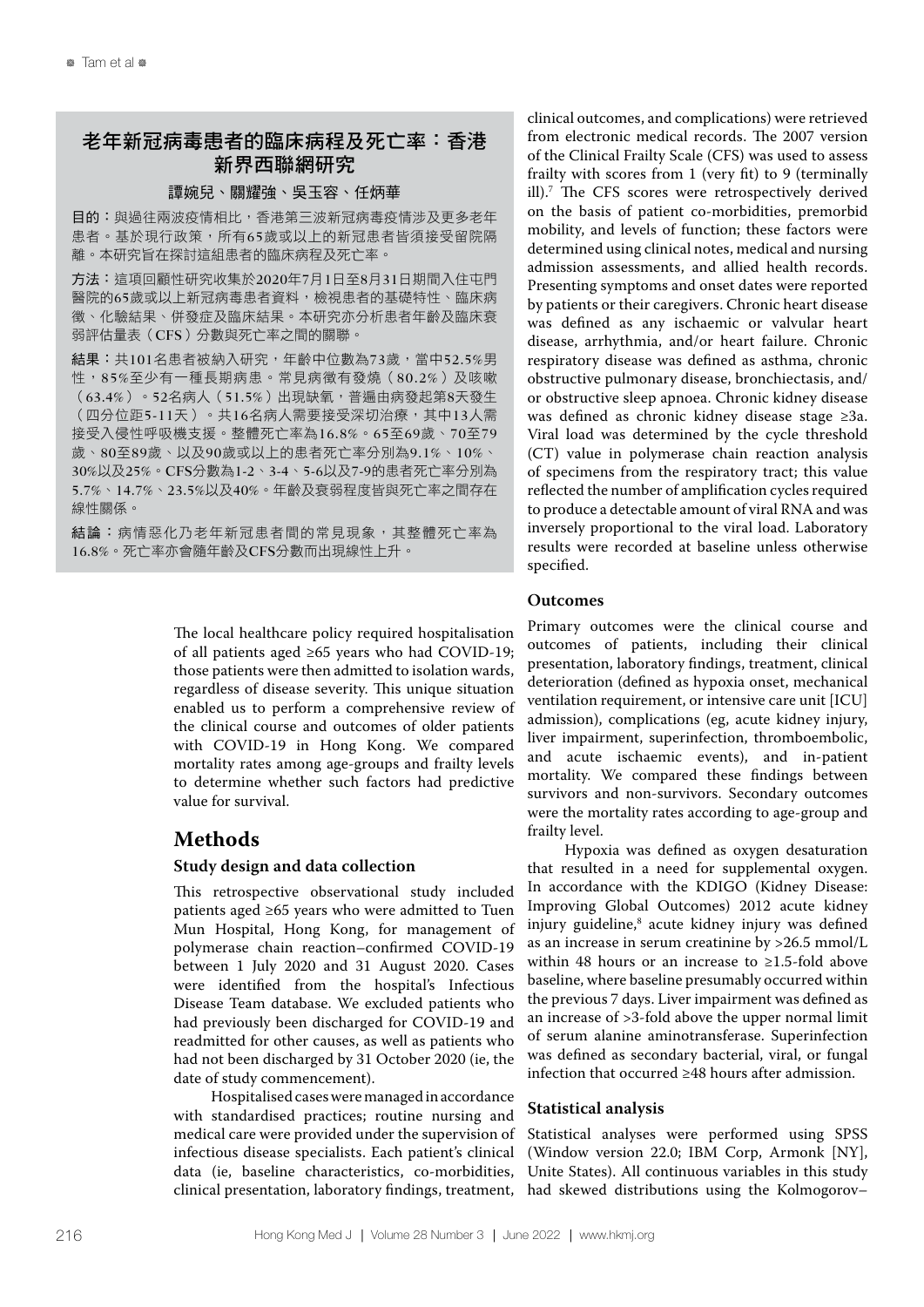# 老年新冠病毒患者的臨床病程及死亡率:香港 新界西聯網研究

## 譚婉兒、關耀強、吳玉容、任炳華

目的:與過往兩波疫情相比,香港第三波新冠病毒疫情涉及更多老年 患者。基於現行政策,所有65歲或以上的新冠患者皆須接受留院隔 離。本研究旨在探討這組患者的臨床病程及死亡率。

方法:這項回顧性研究收集於2020年7月1日至8月31日期間入住屯門 醫院的65歲或以上新冠病毒患者資料,檢視患者的基礎特性、臨床病 徵、化驗結果、併發症及臨床結果。本研究亦分析患者年齡及臨床衰 弱評估量表(CFS)分數與死亡率之間的關聯。

結果:共101名患者被納入研究,年齡中位數為73歲,當中52.5%男 性,85%至少有一種長期病患。常見病徵有發燒(80.2%)及咳嗽 (63.4%)。52名病人(51.5%)出現缺氧,普遍由病發起第8天發生 (四分位距5-11天)。共16名病人需要接受深切治療,其中13人需 接受入侵性呼吸機支援。整體死亡率為16.8%。65至69歲、70至79 歲、80至89歲、以及90歲或以上的患者死亡率分別為9.1%、10%、 30%以及25%。CFS分數為1-2、3-4、5-6以及7-9的患者死亡率分別為 5.7%、14.7%、23.5%以及40%。年齡及衰弱程度皆與死亡率之間存在 線性關係。

結論:病情惡化乃老年新冠患者間的常見現象,其整體死亡率為 16.8%。死亡率亦會隨年齡及CFS分數而出現線性上升。

> The local healthcare policy required hospitalisation of all patients aged ≥65 years who had COVID-19; those patients were then admitted to isolation wards, regardless of disease severity. This unique situation enabled us to perform a comprehensive review of the clinical course and outcomes of older patients with COVID-19 in Hong Kong. We compared mortality rates among age-groups and frailty levels to determine whether such factors had predictive value for survival.

# **Methods**

# **Study design and data collection**

This retrospective observational study included patients aged ≥65 years who were admitted to Tuen Mun Hospital, Hong Kong, for management of polymerase chain reaction–confirmed COVID-19 between 1 July 2020 and 31 August 2020. Cases were identified from the hospital's Infectious Disease Team database. We excluded patients who had previously been discharged for COVID-19 and readmitted for other causes, as well as patients who had not been discharged by 31 October 2020 (ie, the date of study commencement).

Hospitalised cases were managed in accordance with standardised practices; routine nursing and medical care were provided under the supervision of infectious disease specialists. Each patient's clinical data (ie, baseline characteristics, co-morbidities, clinical presentation, laboratory findings, treatment,

clinical outcomes, and complications) were retrieved from electronic medical records. The 2007 version of the Clinical Frailty Scale (CFS) was used to assess frailty with scores from 1 (very fit) to 9 (terminally ill).7 The CFS scores were retrospectively derived on the basis of patient co-morbidities, premorbid mobility, and levels of function; these factors were determined using clinical notes, medical and nursing admission assessments, and allied health records. Presenting symptoms and onset dates were reported by patients or their caregivers. Chronic heart disease was defined as any ischaemic or valvular heart disease, arrhythmia, and/or heart failure. Chronic respiratory disease was defined as asthma, chronic obstructive pulmonary disease, bronchiectasis, and/ or obstructive sleep apnoea. Chronic kidney disease was defined as chronic kidney disease stage ≥3a. Viral load was determined by the cycle threshold (CT) value in polymerase chain reaction analysis of specimens from the respiratory tract; this value reflected the number of amplification cycles required to produce a detectable amount of viral RNA and was inversely proportional to the viral load. Laboratory results were recorded at baseline unless otherwise specified.

# **Outcomes**

Primary outcomes were the clinical course and outcomes of patients, including their clinical presentation, laboratory findings, treatment, clinical deterioration (defined as hypoxia onset, mechanical ventilation requirement, or intensive care unit [ICU] admission), complications (eg, acute kidney injury, liver impairment, superinfection, thromboembolic, and acute ischaemic events), and in-patient mortality. We compared these findings between survivors and non-survivors. Secondary outcomes were the mortality rates according to age-group and frailty level.

Hypoxia was defined as oxygen desaturation that resulted in a need for supplemental oxygen. In accordance with the KDIGO (Kidney Disease: Improving Global Outcomes) 2012 acute kidney injury guideline,<sup>8</sup> acute kidney injury was defined as an increase in serum creatinine by >26.5 mmol/L within 48 hours or an increase to ≥1.5-fold above baseline, where baseline presumably occurred within the previous 7 days. Liver impairment was defined as an increase of >3-fold above the upper normal limit of serum alanine aminotransferase. Superinfection was defined as secondary bacterial, viral, or fungal infection that occurred ≥48 hours after admission.

# **Statistical analysis**

Statistical analyses were performed using SPSS (Window version 22.0; IBM Corp, Armonk [NY], Unite States). All continuous variables in this study had skewed distributions using the Kolmogorov–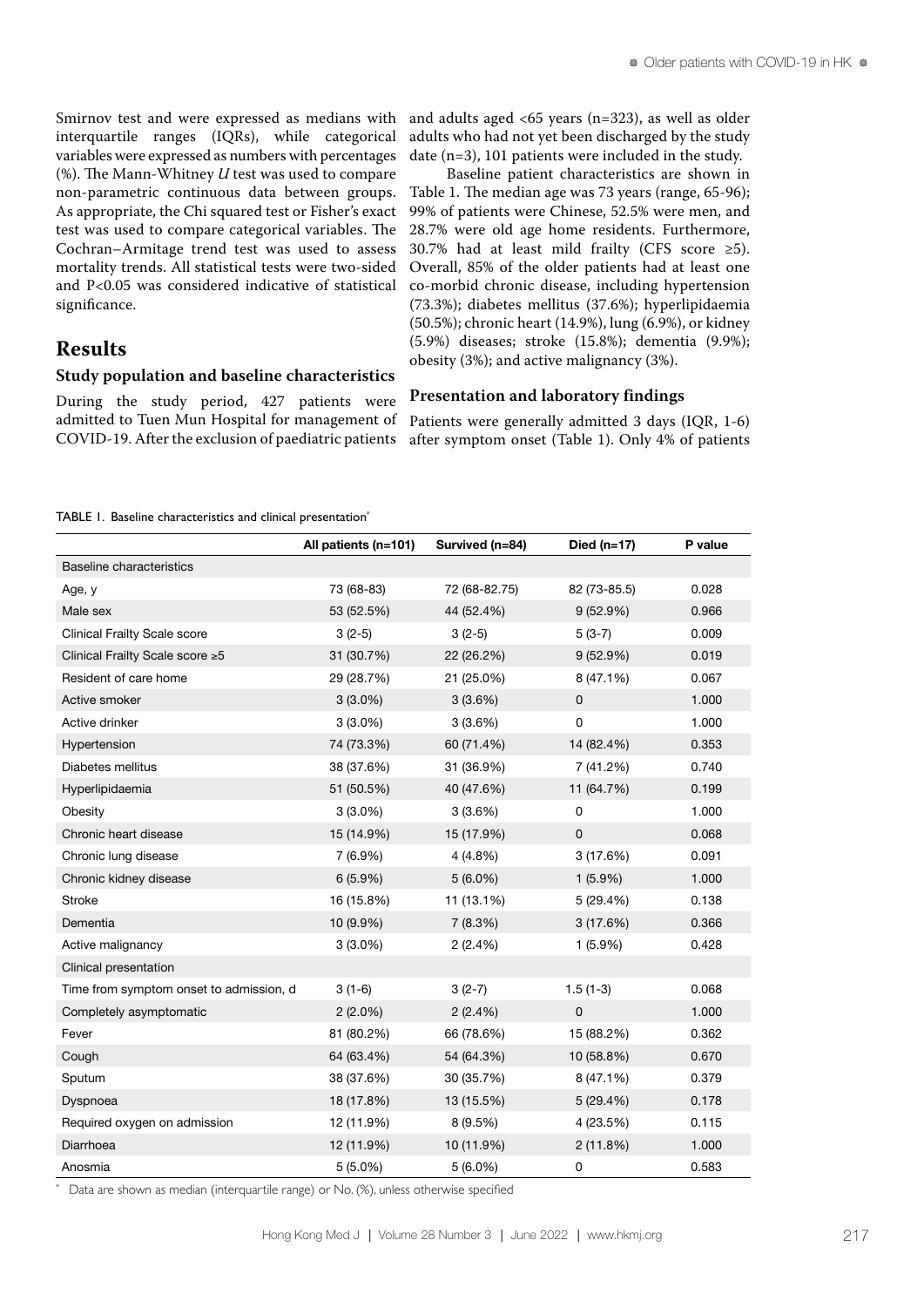Smirnov test and were expressed as medians with interquartile ranges (IQRs), while categorical variables were expressed as numbers with percentages (%). The Mann-Whitney *U* test was used to compare non-parametric continuous data between groups. As appropriate, the Chi squared test or Fisher's exact test was used to compare categorical variables. The Cochran–Armitage trend test was used to assess mortality trends. All statistical tests were two-sided and P<0.05 was considered indicative of statistical significance.

and adults aged <65 years (n=323), as well as older adults who had not yet been discharged by the study date (n=3), 101 patients were included in the study.

Baseline patient characteristics are shown in Table 1. The median age was 73 years (range, 65-96); 99% of patients were Chinese, 52.5% were men, and 28.7% were old age home residents. Furthermore, 30.7% had at least mild frailty (CFS score ≥5). Overall, 85% of the older patients had at least one co-morbid chronic disease, including hypertension (73.3%); diabetes mellitus (37.6%); hyperlipidaemia (50.5%); chronic heart (14.9%), lung (6.9%), or kidney (5.9%) diseases; stroke (15.8%); dementia (9.9%); obesity (3%); and active malignancy (3%).

# **Results**

### **Study population and baseline characteristics**

During the study period, 427 patients were admitted to Tuen Mun Hospital for management of COVID-19. After the exclusion of paediatric patients

**Presentation and laboratory findings**

Patients were generally admitted 3 days (IQR, 1-6) after symptom onset (Table 1). Only 4% of patients

TABLE 1. Baseline characteristics and clinical presentation<sup>\*</sup>

|                                         | All patients (n=101) | Survived (n=84) | Died $(n=17)$ | P value |
|-----------------------------------------|----------------------|-----------------|---------------|---------|
| <b>Baseline characteristics</b>         |                      |                 |               |         |
| Age, y                                  | 73 (68-83)           | 72 (68-82.75)   | 82 (73-85.5)  | 0.028   |
| Male sex                                | 53 (52.5%)           | 44 (52.4%)      | 9(52.9%)      | 0.966   |
| <b>Clinical Frailty Scale score</b>     | $3(2-5)$             | $3(2-5)$        | $5(3-7)$      | 0.009   |
| Clinical Frailty Scale score ≥5         | 31 (30.7%)           | 22 (26.2%)      | 9(52.9%)      | 0.019   |
| Resident of care home                   | 29 (28.7%)           | 21 (25.0%)      | 8 (47.1%)     | 0.067   |
| Active smoker                           | $3(3.0\%)$           | 3(3.6%)         | $\mathbf 0$   | 1.000   |
| Active drinker                          | $3(3.0\%)$           | 3(3.6%)         | $\mathbf 0$   | 1.000   |
| Hypertension                            | 74 (73.3%)           | 60 (71.4%)      | 14 (82.4%)    | 0.353   |
| Diabetes mellitus                       | 38 (37.6%)           | 31 (36.9%)      | 7 (41.2%)     | 0.740   |
| Hyperlipidaemia                         | 51 (50.5%)           | 40 (47.6%)      | 11 (64.7%)    | 0.199   |
| Obesity                                 | $3(3.0\%)$           | 3(3.6%)         | 0             | 1.000   |
| Chronic heart disease                   | 15 (14.9%)           | 15 (17.9%)      | $\mathbf 0$   | 0.068   |
| Chronic lung disease                    | 7 (6.9%)             | 4(4.8%)         | 3(17.6%)      | 0.091   |
| Chronic kidney disease                  | $6(5.9\%)$           | $5(6.0\%)$      | $1(5.9\%)$    | 1.000   |
| <b>Stroke</b>                           | 16 (15.8%)           | 11 (13.1%)      | 5 (29.4%)     | 0.138   |
| Dementia                                | 10 (9.9%)            | 7(8.3%)         | 3(17.6%)      | 0.366   |
| Active malignancy                       | $3(3.0\%)$           | 2(2.4%)         | $1(5.9\%)$    | 0.428   |
| Clinical presentation                   |                      |                 |               |         |
| Time from symptom onset to admission, d | $3(1-6)$             | $3(2-7)$        | $1.5(1-3)$    | 0.068   |
| Completely asymptomatic                 | $2(2.0\%)$           | 2(2.4%)         | $\pmb{0}$     | 1.000   |
| Fever                                   | 81 (80.2%)           | 66 (78.6%)      | 15 (88.2%)    | 0.362   |
| Cough                                   | 64 (63.4%)           | 54 (64.3%)      | 10 (58.8%)    | 0.670   |
| Sputum                                  | 38 (37.6%)           | 30 (35.7%)      | 8 (47.1%)     | 0.379   |
| Dyspnoea                                | 18 (17.8%)           | 13 (15.5%)      | 5 (29.4%)     | 0.178   |
| Required oxygen on admission            | 12 (11.9%)           | 8 (9.5%)        | 4 (23.5%)     | 0.115   |
| Diarrhoea                               | 12 (11.9%)           | 10 (11.9%)      | 2(11.8%)      | 1.000   |
| Anosmia                                 | $5(5.0\%)$           | $5(6.0\%)$      | 0             | 0.583   |

\* Data are shown as median (interquartile range) or No. (%), unless otherwise specified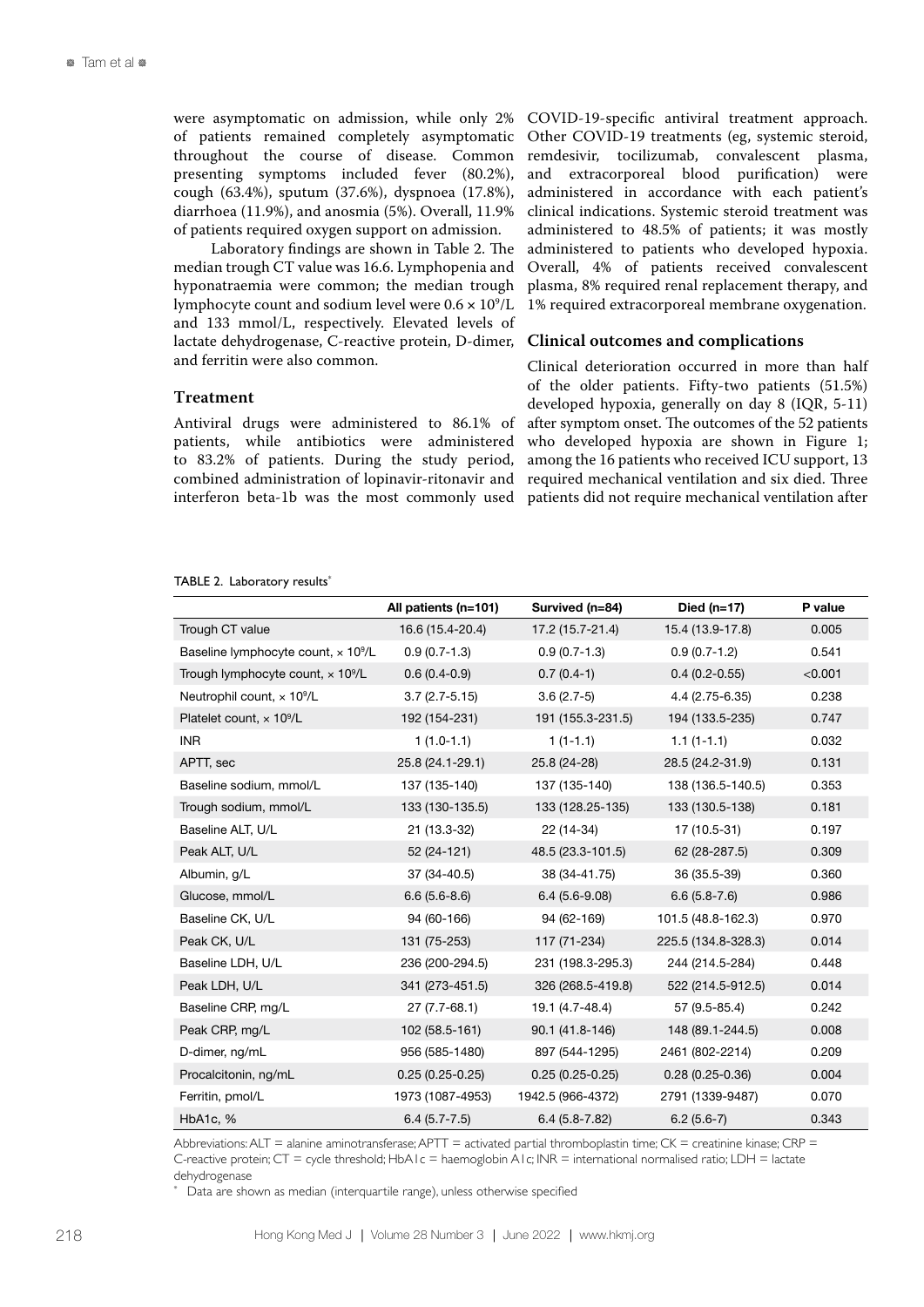were asymptomatic on admission, while only 2% of patients remained completely asymptomatic throughout the course of disease. Common presenting symptoms included fever (80.2%), cough (63.4%), sputum (37.6%), dyspnoea (17.8%), diarrhoea (11.9%), and anosmia (5%). Overall, 11.9% of patients required oxygen support on admission.

Laboratory findings are shown in Table 2. The median trough CT value was 16.6. Lymphopenia and hyponatraemia were common; the median trough lymphocyte count and sodium level were 0.6  $\times$   $10^9$ /L and 133 mmol/L, respectively. Elevated levels of lactate dehydrogenase, C-reactive protein, D-dimer, and ferritin were also common.

# **Treatment**

Antiviral drugs were administered to 86.1% of patients, while antibiotics were administered to 83.2% of patients. During the study period, combined administration of lopinavir-ritonavir and interferon beta-1b was the most commonly used

COVID-19-specific antiviral treatment approach. Other COVID-19 treatments (eg, systemic steroid, remdesivir, tocilizumab, convalescent plasma, and extracorporeal blood purification) were administered in accordance with each patient's clinical indications. Systemic steroid treatment was administered to 48.5% of patients; it was mostly administered to patients who developed hypoxia. Overall, 4% of patients received convalescent plasma, 8% required renal replacement therapy, and 1% required extracorporeal membrane oxygenation.

# **Clinical outcomes and complications**

Clinical deterioration occurred in more than half of the older patients. Fifty-two patients (51.5%) developed hypoxia, generally on day 8 (IQR, 5-11) after symptom onset. The outcomes of the 52 patients who developed hypoxia are shown in Figure 1; among the 16 patients who received ICU support, 13 required mechanical ventilation and six died. Three patients did not require mechanical ventilation after

|                                                      | All patients (n=101) | Survived (n=84)   | Died $(n=17)$       | P value |
|------------------------------------------------------|----------------------|-------------------|---------------------|---------|
| Trough CT value                                      | 16.6 (15.4-20.4)     | 17.2 (15.7-21.4)  | 15.4 (13.9-17.8)    | 0.005   |
| Baseline lymphocyte count, x 10 <sup>9</sup> /L      | $0.9(0.7-1.3)$       | $0.9(0.7-1.3)$    | $0.9(0.7-1.2)$      | 0.541   |
| Trough lymphocyte count, $\times$ 10 <sup>9</sup> /L | $0.6(0.4-0.9)$       | $0.7(0.4-1)$      | $0.4(0.2 - 0.55)$   | < 0.001 |
| Neutrophil count, x 10 <sup>9</sup> /L               | $3.7(2.7-5.15)$      | $3.6(2.7-5)$      | 4.4 (2.75-6.35)     | 0.238   |
| Platelet count, $\times$ 10 <sup>9</sup> /L          | 192 (154-231)        | 191 (155.3-231.5) | 194 (133.5-235)     | 0.747   |
| <b>INR</b>                                           | $1(1.0-1.1)$         | $1(1-1.1)$        | $1.1(1-1.1)$        | 0.032   |
| APTT, sec                                            | 25.8 (24.1-29.1)     | 25.8 (24-28)      | 28.5 (24.2-31.9)    | 0.131   |
| Baseline sodium, mmol/L                              | 137 (135-140)        | 137 (135-140)     | 138 (136.5-140.5)   | 0.353   |
| Trough sodium, mmol/L                                | 133 (130-135.5)      | 133 (128.25-135)  | 133 (130.5-138)     | 0.181   |
| Baseline ALT, U/L                                    | 21 (13.3-32)         | 22 (14-34)        | 17 (10.5-31)        | 0.197   |
| Peak ALT, U/L                                        | 52 (24-121)          | 48.5 (23.3-101.5) | 62 (28-287.5)       | 0.309   |
| Albumin, g/L                                         | 37 (34-40.5)         | 38 (34-41.75)     | 36 (35.5-39)        | 0.360   |
| Glucose, mmol/L                                      | $6.6(5.6-8.6)$       | $6.4(5.6-9.08)$   | $6.6(5.8-7.6)$      | 0.986   |
| Baseline CK, U/L                                     | 94 (60-166)          | 94 (62-169)       | 101.5 (48.8-162.3)  | 0.970   |
| Peak CK, U/L                                         | 131 (75-253)         | 117 (71-234)      | 225.5 (134.8-328.3) | 0.014   |
| Baseline LDH, U/L                                    | 236 (200-294.5)      | 231 (198.3-295.3) | 244 (214.5-284)     | 0.448   |
| Peak LDH, U/L                                        | 341 (273-451.5)      | 326 (268.5-419.8) | 522 (214.5-912.5)   | 0.014   |
| Baseline CRP, mg/L                                   | $27(7.7-68.1)$       | 19.1 (4.7-48.4)   | 57 (9.5-85.4)       | 0.242   |
| Peak CRP, mg/L                                       | 102 (58.5-161)       | 90.1 (41.8-146)   | 148 (89.1-244.5)    | 0.008   |
| D-dimer, ng/mL                                       | 956 (585-1480)       | 897 (544-1295)    | 2461 (802-2214)     | 0.209   |
| Procalcitonin, ng/mL                                 | $0.25(0.25-0.25)$    | $0.25(0.25-0.25)$ | $0.28(0.25-0.36)$   | 0.004   |
| Ferritin, pmol/L                                     | 1973 (1087-4953)     | 1942.5 (966-4372) | 2791 (1339-9487)    | 0.070   |
| HbA1c, %                                             | $6.4(5.7 - 7.5)$     | $6.4(5.8 - 7.82)$ | $6.2(5.6-7)$        | 0.343   |

#### TABLE 2. Laboratory results<sup>\*</sup>

Abbreviations:  $ALT =$  alanine aminotransferase;  $APTT =$  activated partial thromboplastin time;  $CK =$  creatinine kinase;  $CRP =$ C-reactive protein;  $CT =$  cycle threshold;  $HDA1c =$  haemoglobin A1c;  $INR =$  international normalised ratio;  $LDH =$  lactate dehydrogenase

Data are shown as median (interquartile range), unless otherwise specified

\*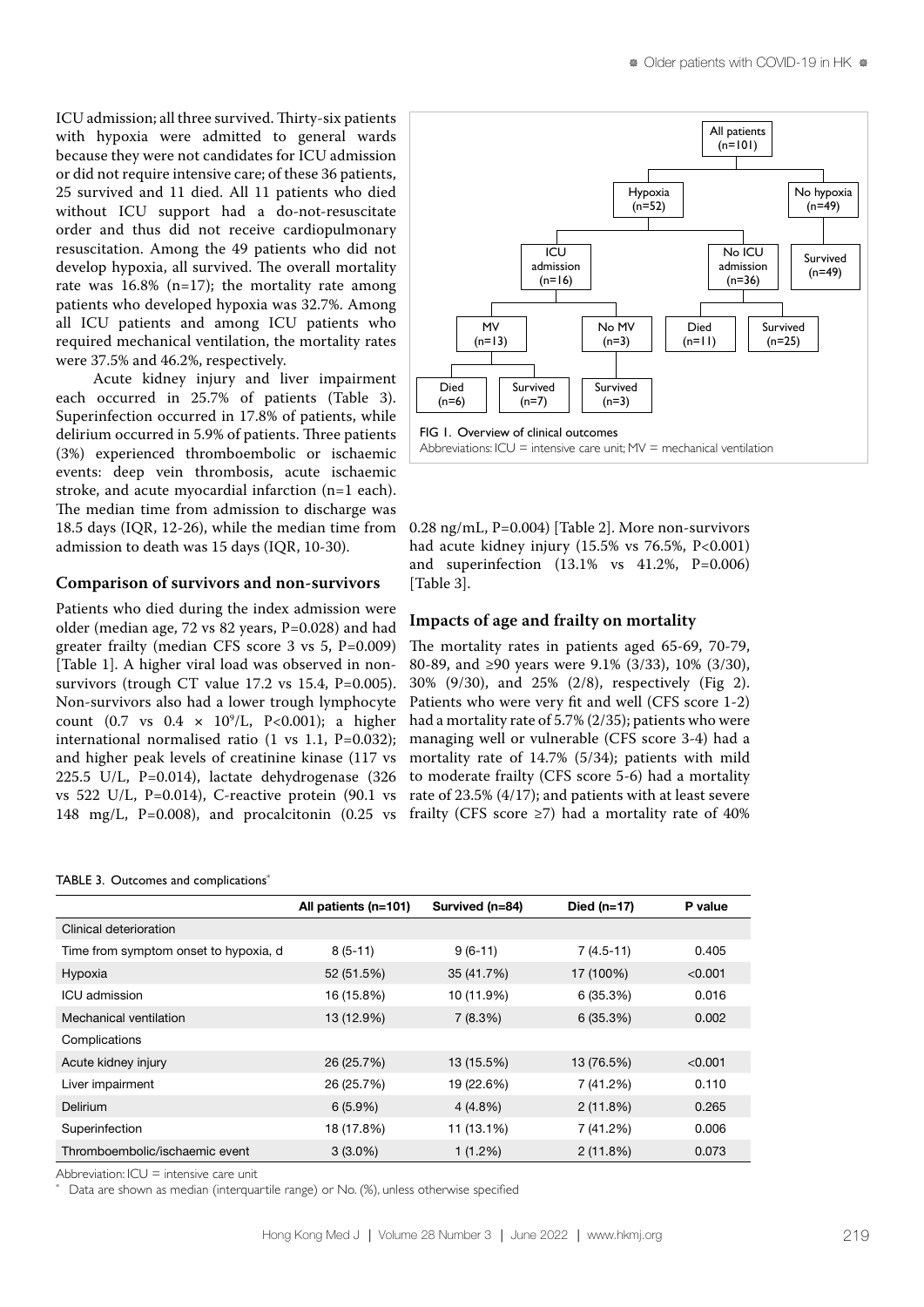ICU admission; all three survived. Thirty-six patients with hypoxia were admitted to general wards because they were not candidates for ICU admission or did not require intensive care; of these 36 patients, 25 survived and 11 died. All 11 patients who died without ICU support had a do-not-resuscitate order and thus did not receive cardiopulmonary resuscitation. Among the 49 patients who did not develop hypoxia, all survived. The overall mortality rate was  $16.8\%$  (n=17); the mortality rate among patients who developed hypoxia was 32.7%. Among all ICU patients and among ICU patients who required mechanical ventilation, the mortality rates were 37.5% and 46.2%, respectively.

Acute kidney injury and liver impairment each occurred in 25.7% of patients (Table 3). Superinfection occurred in 17.8% of patients, while delirium occurred in 5.9% of patients. Three patients (3%) experienced thromboembolic or ischaemic events: deep vein thrombosis, acute ischaemic stroke, and acute myocardial infarction (n=1 each). The median time from admission to discharge was 18.5 days (IQR, 12-26), while the median time from admission to death was 15 days (IQR, 10-30).

# **Comparison of survivors and non-survivors**

Patients who died during the index admission were older (median age, 72 vs 82 years, P=0.028) and had greater frailty (median CFS score 3 vs 5, P=0.009) [Table 1]. A higher viral load was observed in nonsurvivors (trough CT value 17.2 vs 15.4, P=0.005). Non-survivors also had a lower trough lymphocyte count  $(0.7 \text{ vs } 0.4 \times 10^9/\text{L}, \text{ P}<0.001)$ ; a higher international normalised ratio (1 vs 1.1, P=0.032); and higher peak levels of creatinine kinase (117 vs 225.5 U/L, P=0.014), lactate dehydrogenase (326 vs 522 U/L, P=0.014), C-reactive protein  $(90.1 \text{ vs } 522 \text{ U/L})$ 148 mg/L, P=0.008), and procalcitonin  $(0.25 \text{ vs }$ 



0.28 ng/mL, P=0.004) [Table 2]. More non-survivors had acute kidney injury (15.5% vs 76.5%, P<0.001) and superinfection (13.1% vs 41.2%, P=0.006) [Table 3].

# **Impacts of age and frailty on mortality**

The mortality rates in patients aged 65-69, 70-79, 80-89, and ≥90 years were 9.1% (3/33), 10% (3/30), 30% (9/30), and 25% (2/8), respectively (Fig 2). Patients who were very fit and well (CFS score 1-2) had a mortality rate of 5.7% (2/35); patients who were managing well or vulnerable (CFS score 3-4) had a mortality rate of 14.7% (5/34); patients with mild to moderate frailty (CFS score 5-6) had a mortality rate of 23.5% (4/17); and patients with at least severe frailty (CFS score  $\geq$ 7) had a mortality rate of 40%

| TABLE 3. Outcomes and complications <sup>*</sup> |
|--------------------------------------------------|
|--------------------------------------------------|

|                                       | All patients (n=101) | Survived (n=84) | Died $(n=17)$ | P value |
|---------------------------------------|----------------------|-----------------|---------------|---------|
| Clinical deterioration                |                      |                 |               |         |
| Time from symptom onset to hypoxia, d | $8(5-11)$            | $9(6-11)$       | $7(4.5-11)$   | 0.405   |
| Hypoxia                               | 52 (51.5%)           | 35 (41.7%)      | 17 (100%)     | < 0.001 |
| ICU admission                         | 16 (15.8%)           | 10 (11.9%)      | 6(35.3%)      | 0.016   |
| Mechanical ventilation                | 13 (12.9%)           | 7(8.3%)         | 6(35.3%)      | 0.002   |
| Complications                         |                      |                 |               |         |
| Acute kidney injury                   | 26 (25.7%)           | 13 (15.5%)      | 13 (76.5%)    | < 0.001 |
| Liver impairment                      | 26 (25.7%)           | 19 (22.6%)      | 7 (41.2%)     | 0.110   |
| Delirium                              | $6(5.9\%)$           | $4(4.8\%)$      | 2(11.8%)      | 0.265   |
| Superinfection                        | 18 (17.8%)           | 11 (13.1%)      | 7 (41.2%)     | 0.006   |
| Thromboembolic/ischaemic event        | $3(3.0\%)$           | 1(1.2%)         | 2(11.8%)      | 0.073   |

Abbreviation:  $ICU =$  intensive care unit

\*

Data are shown as median (interquartile range) or No. (%), unless otherwise specified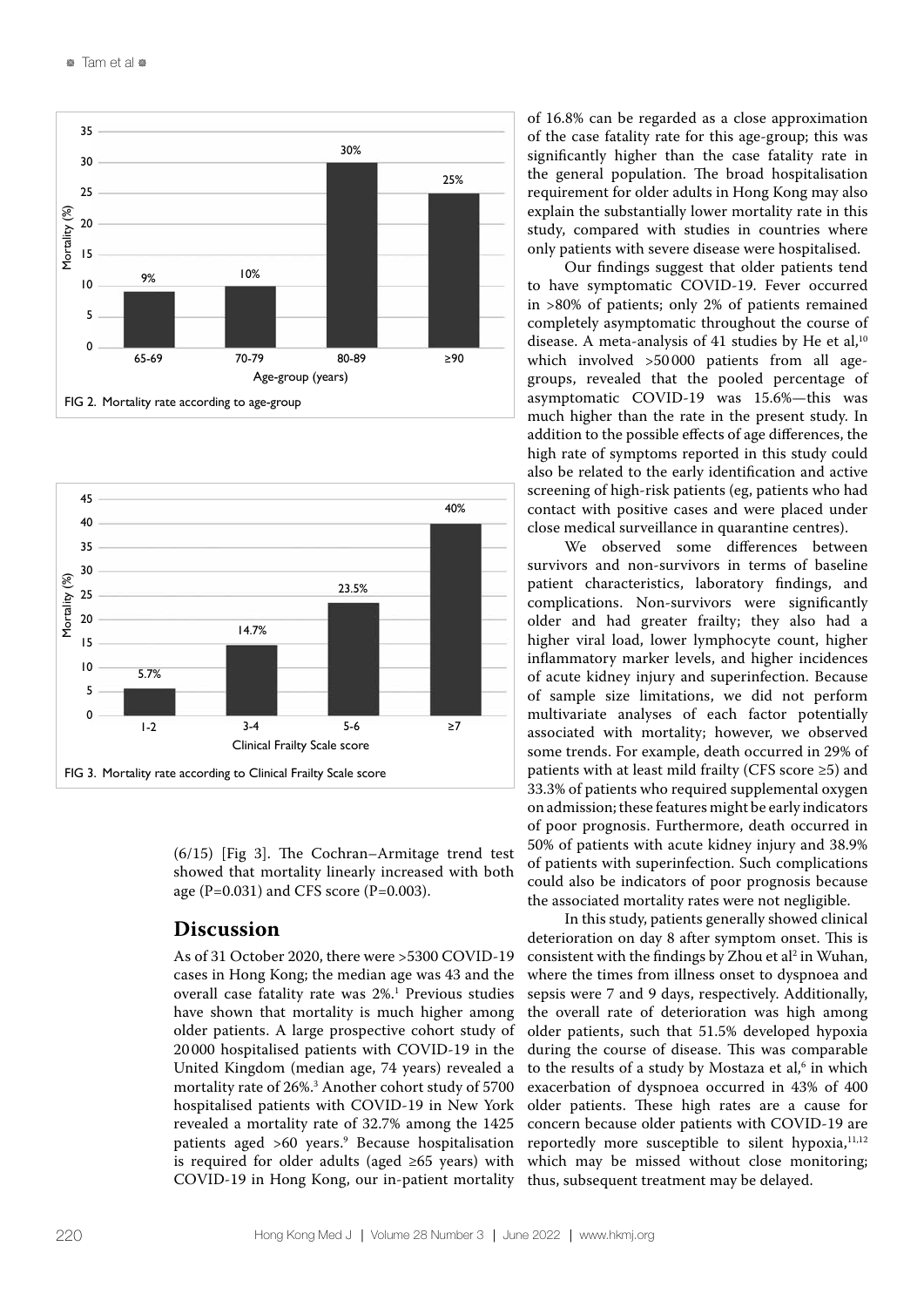



(6/15) [Fig 3]. The Cochran–Armitage trend test showed that mortality linearly increased with both age (P=0.031) and CFS score (P=0.003).

# **Discussion**

As of 31 October 2020, there were >5300 COVID-19 cases in Hong Kong; the median age was 43 and the overall case fatality rate was 2%.1 Previous studies have shown that mortality is much higher among older patients. A large prospective cohort study of 20 000 hospitalised patients with COVID-19 in the United Kingdom (median age, 74 years) revealed a mortality rate of 26%.3 Another cohort study of 5700 hospitalised patients with COVID-19 in New York revealed a mortality rate of 32.7% among the 1425 patients aged >60 years.9 Because hospitalisation is required for older adults (aged  $\geq 65$  years) with COVID-19 in Hong Kong, our in-patient mortality of 16.8% can be regarded as a close approximation of the case fatality rate for this age-group; this was significantly higher than the case fatality rate in the general population. The broad hospitalisation requirement for older adults in Hong Kong may also explain the substantially lower mortality rate in this study, compared with studies in countries where only patients with severe disease were hospitalised.

Our findings suggest that older patients tend to have symptomatic COVID-19. Fever occurred in >80% of patients; only 2% of patients remained completely asymptomatic throughout the course of disease. A meta-analysis of 41 studies by He et al, $10$ which involved >50 000 patients from all agegroups, revealed that the pooled percentage of asymptomatic COVID-19 was 15.6%—this was much higher than the rate in the present study. In addition to the possible effects of age differences, the high rate of symptoms reported in this study could also be related to the early identification and active screening of high-risk patients (eg, patients who had contact with positive cases and were placed under close medical surveillance in quarantine centres).

We observed some differences between survivors and non-survivors in terms of baseline patient characteristics, laboratory findings, and complications. Non-survivors were significantly older and had greater frailty; they also had a higher viral load, lower lymphocyte count, higher inflammatory marker levels, and higher incidences of acute kidney injury and superinfection. Because of sample size limitations, we did not perform multivariate analyses of each factor potentially associated with mortality; however, we observed some trends. For example, death occurred in 29% of patients with at least mild frailty (CFS score ≥5) and 33.3% of patients who required supplemental oxygen on admission; these features might be early indicators of poor prognosis. Furthermore, death occurred in 50% of patients with acute kidney injury and 38.9% of patients with superinfection. Such complications could also be indicators of poor prognosis because the associated mortality rates were not negligible.

In this study, patients generally showed clinical deterioration on day 8 after symptom onset. This is consistent with the findings by Zhou et  $al^2$  in Wuhan, where the times from illness onset to dyspnoea and sepsis were 7 and 9 days, respectively. Additionally, the overall rate of deterioration was high among older patients, such that 51.5% developed hypoxia during the course of disease. This was comparable to the results of a study by Mostaza et al, $6$  in which exacerbation of dyspnoea occurred in 43% of 400 older patients. These high rates are a cause for concern because older patients with COVID-19 are reportedly more susceptible to silent hypoxia, $11,12$ which may be missed without close monitoring; thus, subsequent treatment may be delayed.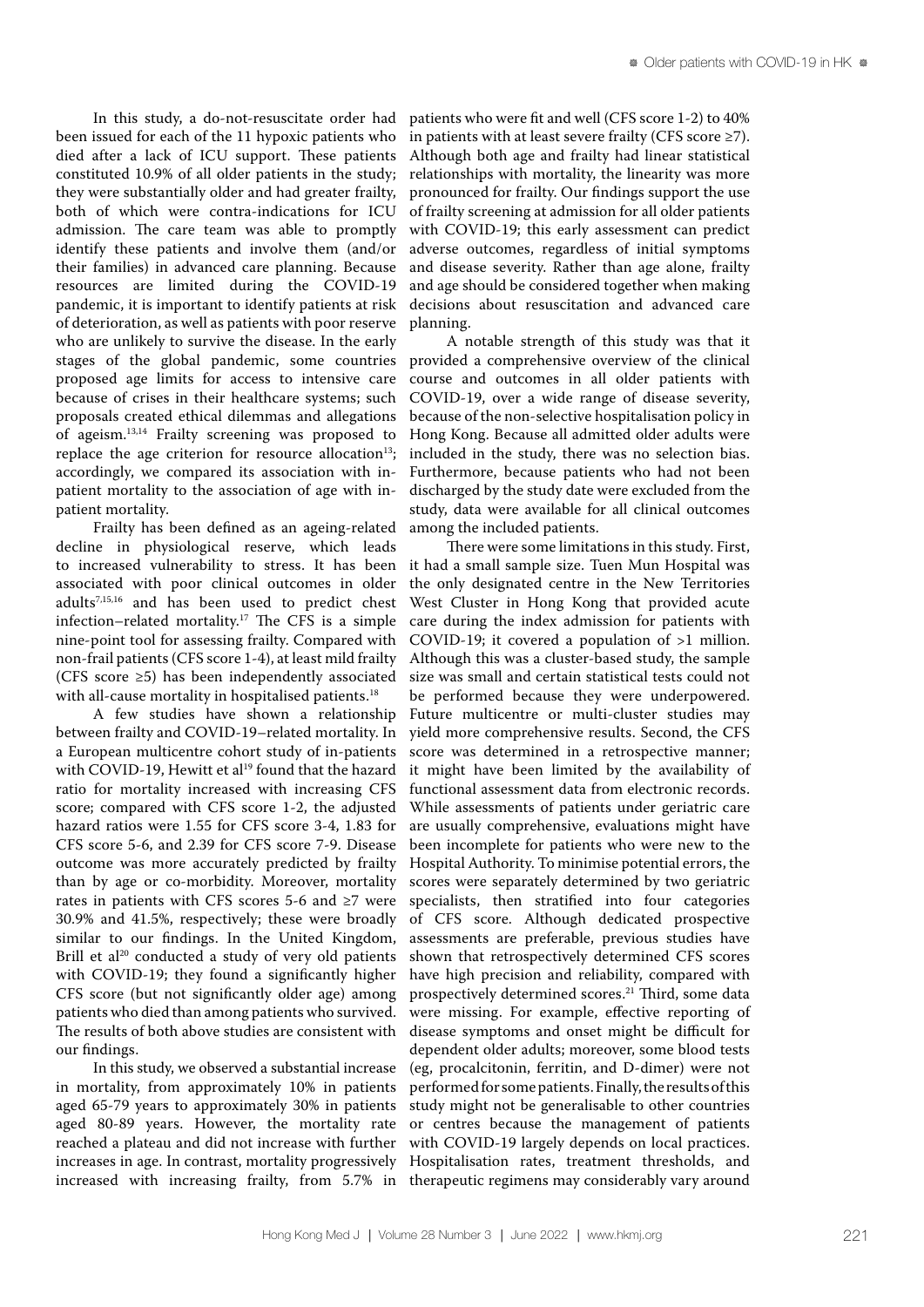In this study, a do-not-resuscitate order had been issued for each of the 11 hypoxic patients who died after a lack of ICU support. These patients constituted 10.9% of all older patients in the study; they were substantially older and had greater frailty, both of which were contra-indications for ICU admission. The care team was able to promptly identify these patients and involve them (and/or their families) in advanced care planning. Because resources are limited during the COVID-19 pandemic, it is important to identify patients at risk of deterioration, as well as patients with poor reserve who are unlikely to survive the disease. In the early stages of the global pandemic, some countries proposed age limits for access to intensive care because of crises in their healthcare systems; such proposals created ethical dilemmas and allegations of ageism.13,14 Frailty screening was proposed to replace the age criterion for resource allocation<sup>13</sup>; accordingly, we compared its association with inpatient mortality to the association of age with inpatient mortality.

Frailty has been defined as an ageing-related decline in physiological reserve, which leads to increased vulnerability to stress. It has been associated with poor clinical outcomes in older adults7,15,16 and has been used to predict chest infection–related mortality.<sup>17</sup> The CFS is a simple nine-point tool for assessing frailty. Compared with non-frail patients (CFS score 1-4), at least mild frailty (CFS score ≥5) has been independently associated with all-cause mortality in hospitalised patients.<sup>18</sup>

A few studies have shown a relationship between frailty and COVID-19–related mortality. In a European multicentre cohort study of in-patients with COVID-19, Hewitt et al<sup>19</sup> found that the hazard ratio for mortality increased with increasing CFS score; compared with CFS score 1-2, the adjusted hazard ratios were 1.55 for CFS score 3-4, 1.83 for CFS score 5-6, and 2.39 for CFS score 7-9. Disease outcome was more accurately predicted by frailty than by age or co-morbidity. Moreover, mortality rates in patients with CFS scores 5-6 and ≥7 were 30.9% and 41.5%, respectively; these were broadly similar to our findings. In the United Kingdom, Brill et al<sup>20</sup> conducted a study of very old patients with COVID-19; they found a significantly higher CFS score (but not significantly older age) among patients who died than among patients who survived. The results of both above studies are consistent with our findings.

In this study, we observed a substantial increase in mortality, from approximately 10% in patients aged 65-79 years to approximately 30% in patients aged 80-89 years. However, the mortality rate reached a plateau and did not increase with further increases in age. In contrast, mortality progressively increased with increasing frailty, from 5.7% in patients who were fit and well (CFS score 1-2) to 40% in patients with at least severe frailty (CFS score  $\geq$ 7). Although both age and frailty had linear statistical relationships with mortality, the linearity was more pronounced for frailty. Our findings support the use of frailty screening at admission for all older patients with COVID-19; this early assessment can predict adverse outcomes, regardless of initial symptoms and disease severity. Rather than age alone, frailty and age should be considered together when making decisions about resuscitation and advanced care planning.

A notable strength of this study was that it provided a comprehensive overview of the clinical course and outcomes in all older patients with COVID-19, over a wide range of disease severity, because of the non-selective hospitalisation policy in Hong Kong. Because all admitted older adults were included in the study, there was no selection bias. Furthermore, because patients who had not been discharged by the study date were excluded from the study, data were available for all clinical outcomes among the included patients.

There were some limitations in this study. First, it had a small sample size. Tuen Mun Hospital was the only designated centre in the New Territories West Cluster in Hong Kong that provided acute care during the index admission for patients with COVID-19; it covered a population of >1 million. Although this was a cluster-based study, the sample size was small and certain statistical tests could not be performed because they were underpowered. Future multicentre or multi-cluster studies may yield more comprehensive results. Second, the CFS score was determined in a retrospective manner; it might have been limited by the availability of functional assessment data from electronic records. While assessments of patients under geriatric care are usually comprehensive, evaluations might have been incomplete for patients who were new to the Hospital Authority. To minimise potential errors, the scores were separately determined by two geriatric specialists, then stratified into four categories of CFS score. Although dedicated prospective assessments are preferable, previous studies have shown that retrospectively determined CFS scores have high precision and reliability, compared with prospectively determined scores.21 Third, some data were missing. For example, effective reporting of disease symptoms and onset might be difficult for dependent older adults; moreover, some blood tests (eg, procalcitonin, ferritin, and D-dimer) were not performed for some patients. Finally, the results of this study might not be generalisable to other countries or centres because the management of patients with COVID-19 largely depends on local practices. Hospitalisation rates, treatment thresholds, and therapeutic regimens may considerably vary around